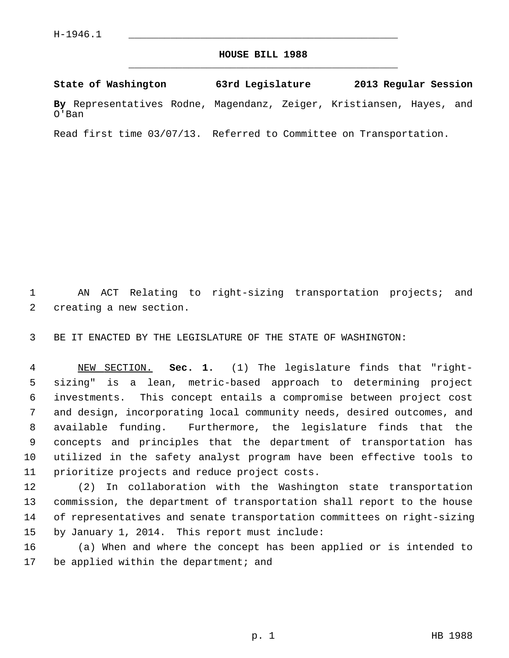## **HOUSE BILL 1988** \_\_\_\_\_\_\_\_\_\_\_\_\_\_\_\_\_\_\_\_\_\_\_\_\_\_\_\_\_\_\_\_\_\_\_\_\_\_\_\_\_\_\_\_\_

**State of Washington 63rd Legislature 2013 Regular Session By** Representatives Rodne, Magendanz, Zeiger, Kristiansen, Hayes, and O'Ban

Read first time 03/07/13. Referred to Committee on Transportation.

 1 AN ACT Relating to right-sizing transportation projects; and 2 creating a new section.

3 BE IT ENACTED BY THE LEGISLATURE OF THE STATE OF WASHINGTON:

 4 NEW SECTION. **Sec. 1.** (1) The legislature finds that "right- 5 sizing" is a lean, metric-based approach to determining project 6 investments. This concept entails a compromise between project cost 7 and design, incorporating local community needs, desired outcomes, and 8 available funding. Furthermore, the legislature finds that the 9 concepts and principles that the department of transportation has 10 utilized in the safety analyst program have been effective tools to 11 prioritize projects and reduce project costs.

12 (2) In collaboration with the Washington state transportation 13 commission, the department of transportation shall report to the house 14 of representatives and senate transportation committees on right-sizing 15 by January 1, 2014. This report must include:

16 (a) When and where the concept has been applied or is intended to 17 be applied within the department; and